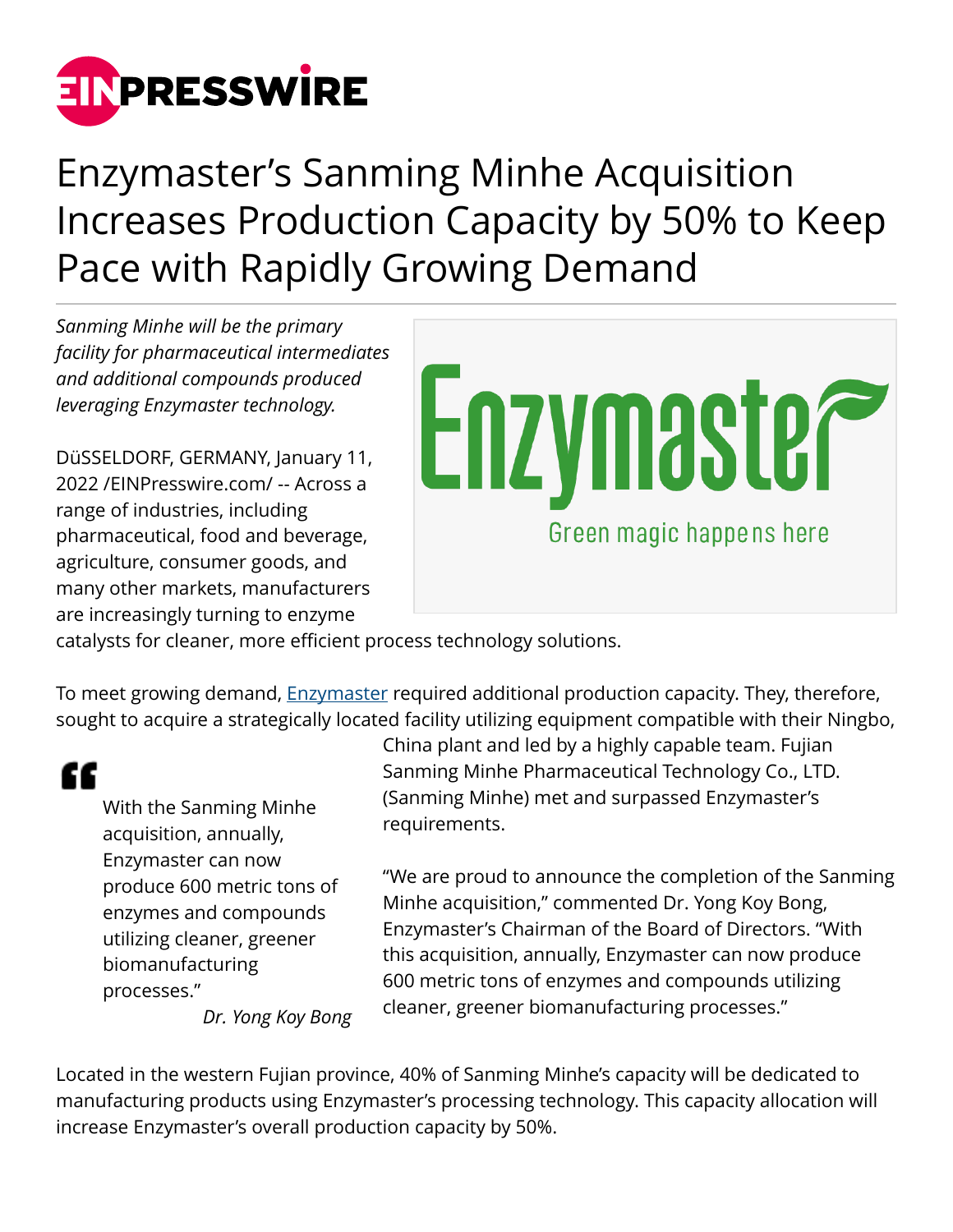

Enzymaster's Sanming Minhe Acquisition Increases Production Capacity by 50% to Keep Pace with Rapidly Growing Demand

*Sanming Minhe will be the primary facility for pharmaceutical intermediates and additional compounds produced leveraging Enzymaster technology.*

DüSSELDORF, GERMANY, January 11, 2022 /[EINPresswire.com](http://www.einpresswire.com)/ -- Across a range of industries, including pharmaceutical, food and beverage, agriculture, consumer goods, and many other markets, manufacturers are increasingly turning to enzyme



catalysts for cleaner, more efficient process technology solutions.

To meet growing demand, [Enzymaster](https://enzymaster.de/) required additional production capacity. They, therefore, sought to acquire a strategically located facility utilizing equipment compatible with their Ningbo,

"

With the Sanming Minhe acquisition, annually, Enzymaster can now produce 600 metric tons of enzymes and compounds utilizing cleaner, greener biomanufacturing processes."

*Dr. Yong Koy Bong*

China plant and led by a highly capable team. Fujian Sanming Minhe Pharmaceutical Technology Co., LTD. (Sanming Minhe) met and surpassed Enzymaster's requirements.

"We are proud to announce the completion of the Sanming Minhe acquisition," commented Dr. Yong Koy Bong, Enzymaster's Chairman of the Board of Directors. "With this acquisition, annually, Enzymaster can now produce 600 metric tons of enzymes and compounds utilizing cleaner, greener biomanufacturing processes."

Located in the western Fujian province, 40% of Sanming Minhe's capacity will be dedicated to manufacturing products using Enzymaster's processing technology. This capacity allocation will increase Enzymaster's overall production capacity by 50%.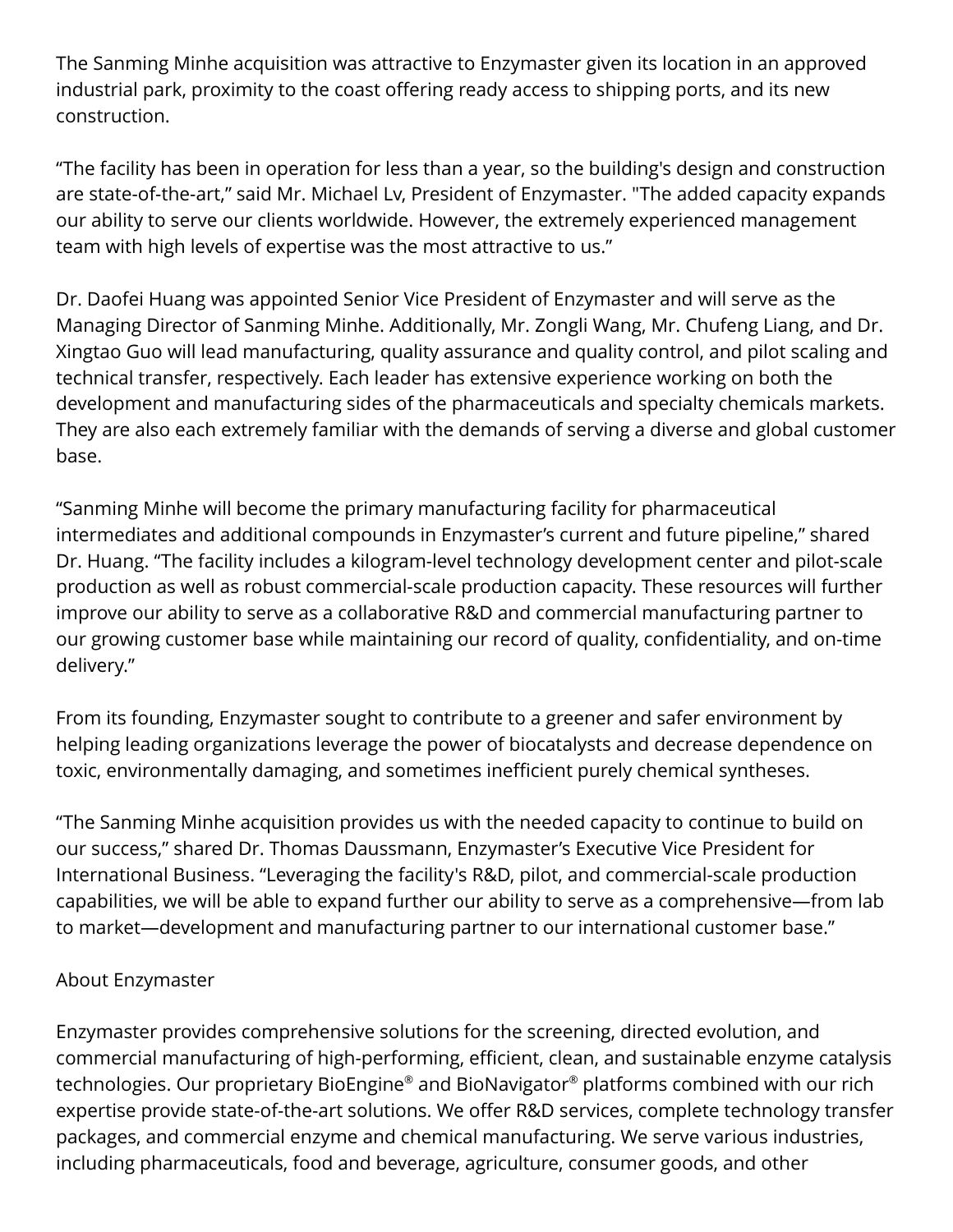The Sanming Minhe acquisition was attractive to Enzymaster given its location in an approved industrial park, proximity to the coast offering ready access to shipping ports, and its new construction.

"The facility has been in operation for less than a year, so the building's design and construction are state-of-the-art," said Mr. Michael Lv, President of Enzymaster. "The added capacity expands our ability to serve our clients worldwide. However, the extremely experienced management team with high levels of expertise was the most attractive to us."

Dr. Daofei Huang was appointed Senior Vice President of Enzymaster and will serve as the Managing Director of Sanming Minhe. Additionally, Mr. Zongli Wang, Mr. Chufeng Liang, and Dr. Xingtao Guo will lead manufacturing, quality assurance and quality control, and pilot scaling and technical transfer, respectively. Each leader has extensive experience working on both the development and manufacturing sides of the pharmaceuticals and specialty chemicals markets. They are also each extremely familiar with the demands of serving a diverse and global customer base.

"Sanming Minhe will become the primary manufacturing facility for pharmaceutical intermediates and additional compounds in Enzymaster's current and future pipeline," shared Dr. Huang. "The facility includes a kilogram-level technology development center and pilot-scale production as well as robust commercial-scale production capacity. These resources will further improve our ability to serve as a collaborative R&D and commercial manufacturing partner to our growing customer base while maintaining our record of quality, confidentiality, and on-time delivery."

From its founding, Enzymaster sought to contribute to a greener and safer environment by helping leading organizations leverage the power of biocatalysts and decrease dependence on toxic, environmentally damaging, and sometimes inefficient purely chemical syntheses.

"The Sanming Minhe acquisition provides us with the needed capacity to continue to build on our success," shared Dr. Thomas Daussmann, Enzymaster's Executive Vice President for International Business. "Leveraging the facility's R&D, pilot, and commercial-scale production capabilities, we will be able to expand further our ability to serve as a comprehensive—from lab to market—development and manufacturing partner to our international customer base."

## About Enzymaster

Enzymaster provides comprehensive solutions for the screening, directed evolution, and commercial manufacturing of high-performing, efficient, clean, and sustainable enzyme catalysis technologies. Our proprietary BioEngine® and BioNavigator® platforms combined with our rich expertise provide state-of-the-art solutions. We offer R&D services, complete technology transfer packages, and commercial enzyme and chemical manufacturing. We serve various industries, including pharmaceuticals, food and beverage, agriculture, consumer goods, and other